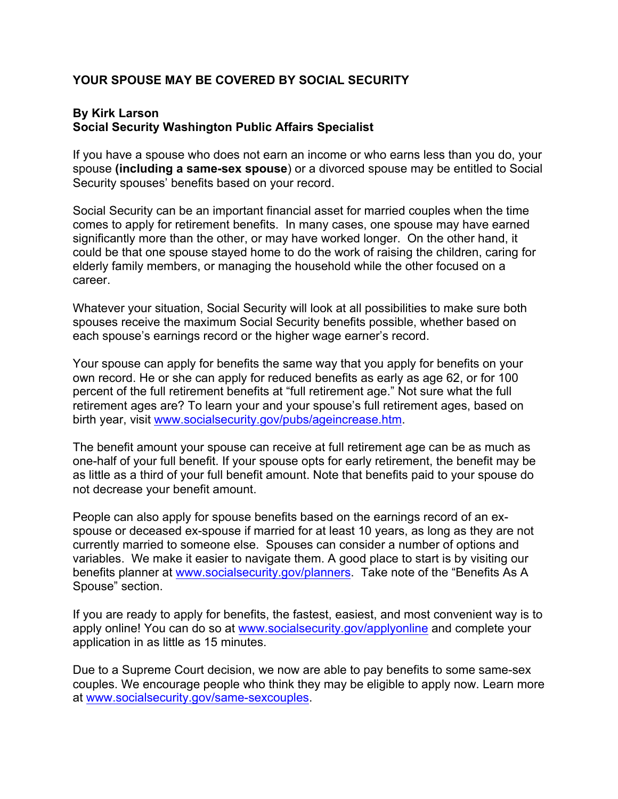## **YOUR SPOUSE MAY BE COVERED BY SOCIAL SECURITY**

## **By Kirk Larson Social Security Washington Public Affairs Specialist**

If you have a spouse who does not earn an income or who earns less than you do, your spouse **(including a same-sex spouse**) or a divorced spouse may be entitled to Social Security spouses' benefits based on your record.

Social Security can be an important financial asset for married couples when the time comes to apply for retirement benefits. In many cases, one spouse may have earned significantly more than the other, or may have worked longer. On the other hand, it could be that one spouse stayed home to do the work of raising the children, caring for elderly family members, or managing the household while the other focused on a career.

Whatever your situation, Social Security will look at all possibilities to make sure both spouses receive the maximum Social Security benefits possible, whether based on each spouse's earnings record or the higher wage earner's record.

Your spouse can apply for benefits the same way that you apply for benefits on your own record. He or she can apply for reduced benefits as early as age 62, or for 100 percent of the full retirement benefits at "full retirement age." Not sure what the full retirement ages are? To learn your and your spouse's full retirement ages, based on birth year, visit www.socialsecurity.gov/pubs/ageincrease.htm.

The benefit amount your spouse can receive at full retirement age can be as much as one-half of your full benefit. If your spouse opts for early retirement, the benefit may be as little as a third of your full benefit amount. Note that benefits paid to your spouse do not decrease your benefit amount.

People can also apply for spouse benefits based on the earnings record of an exspouse or deceased ex-spouse if married for at least 10 years, as long as they are not currently married to someone else. Spouses can consider a number of options and variables. We make it easier to navigate them. A good place to start is by visiting our benefits planner at www.socialsecurity.gov/planners. Take note of the "Benefits As A Spouse" section.

If you are ready to apply for benefits, the fastest, easiest, and most convenient way is to apply online! You can do so at www.socialsecurity.gov/applyonline and complete your application in as little as 15 minutes.

Due to a Supreme Court decision, we now are able to pay benefits to some same-sex couples. We encourage people who think they may be eligible to apply now. Learn more at www.socialsecurity.gov/same-sexcouples.